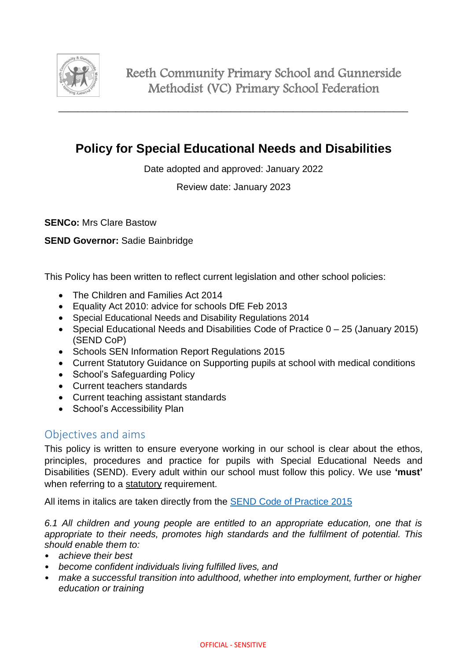

# **Policy for Special Educational Needs and Disabilities**

Date adopted and approved: January 2022

Review date: January 2023

**SENCo:** Mrs Clare Bastow

#### **SEND Governor:** Sadie Bainbridge

This Policy has been written to reflect current legislation and other school policies:

- The Children and Families Act 2014
- Equality Act 2010: advice for schools DfE Feb 2013
- Special Educational Needs and Disability Regulations 2014
- Special Educational Needs and Disabilities Code of Practice 0 25 (January 2015) (SEND CoP)
- Schools SEN Information Report Regulations 2015
- Current Statutory Guidance on Supporting pupils at school with medical conditions
- School's Safeguarding Policy
- Current teachers standards
- Current teaching assistant standards
- School's Accessibility Plan

# Objectives and aims

This policy is written to ensure everyone working in our school is clear about the ethos, principles, procedures and practice for pupils with Special Educational Needs and Disabilities (SEND). Every adult within our school must follow this policy. We use **'must'** when referring to a statutory requirement.

All items in italics are taken directly from the [SEND Code of Practice 2015](https://www.gov.uk/government/publications/send-code-of-practice-0-to-25)

*6.1 All children and young people are entitled to an appropriate education, one that is appropriate to their needs, promotes high standards and the fulfilment of potential. This should enable them to:* 

- *achieve their best*
- *become confident individuals living fulfilled lives, and*
- *make a successful transition into adulthood, whether into employment, further or higher education or training*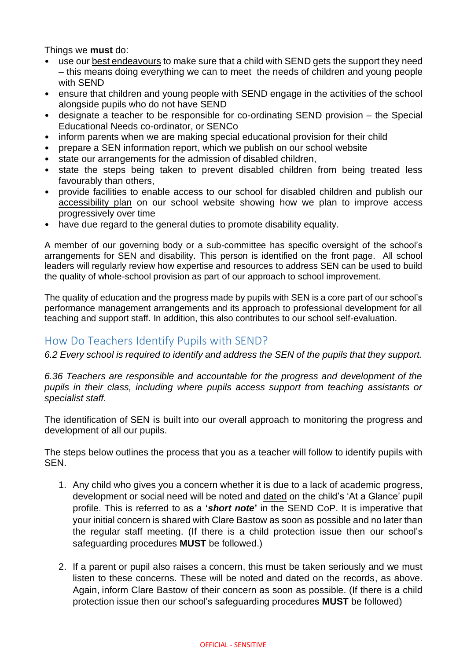Things we **must** do:

- use our best endeavours to make sure that a child with SEND gets the support they need – this means doing everything we can to meet the needs of children and young people with SEND
- ensure that children and young people with SEND engage in the activities of the school alongside pupils who do not have SEND
- designate a teacher to be responsible for co-ordinating SEND provision the Special Educational Needs co-ordinator, or SENCo
- inform parents when we are making special educational provision for their child
- prepare a SEN information report, which we publish on our school website
- state our arrangements for the admission of disabled children,
- state the steps being taken to prevent disabled children from being treated less favourably than others,
- provide facilities to enable access to our school for disabled children and publish our accessibility plan on our school website showing how we plan to improve access progressively over time
- have due regard to the general duties to promote disability equality.

A member of our governing body or a sub-committee has specific oversight of the school's arrangements for SEN and disability. This person is identified on the front page. All school leaders will regularly review how expertise and resources to address SEN can be used to build the quality of whole-school provision as part of our approach to school improvement.

The quality of education and the progress made by pupils with SEN is a core part of our school's performance management arrangements and its approach to professional development for all teaching and support staff. In addition, this also contributes to our school self-evaluation.

# How Do Teachers Identify Pupils with SEND?

*6.2 Every school is required to identify and address the SEN of the pupils that they support.* 

*6.36 Teachers are responsible and accountable for the progress and development of the pupils in their class, including where pupils access support from teaching assistants or specialist staff.* 

The identification of SEN is built into our overall approach to monitoring the progress and development of all our pupils.

The steps below outlines the process that you as a teacher will follow to identify pupils with **SEN.** 

- 1. Any child who gives you a concern whether it is due to a lack of academic progress, development or social need will be noted and dated on the child's 'At a Glance' pupil profile. This is referred to as a **'***short note***'** in the SEND CoP. It is imperative that your initial concern is shared with Clare Bastow as soon as possible and no later than the regular staff meeting. (If there is a child protection issue then our school's safeguarding procedures **MUST** be followed.)
- 2. If a parent or pupil also raises a concern, this must be taken seriously and we must listen to these concerns. These will be noted and dated on the records, as above. Again, inform Clare Bastow of their concern as soon as possible. (If there is a child protection issue then our school's safeguarding procedures **MUST** be followed)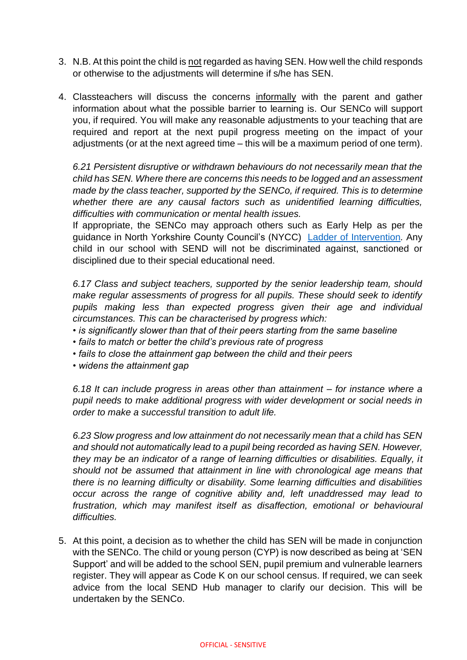- 3. N.B. At this point the child is not regarded as having SEN. How well the child responds or otherwise to the adjustments will determine if s/he has SEN.
- 4. Classteachers will discuss the concerns informally with the parent and gather information about what the possible barrier to learning is. Our SENCo will support you, if required. You will make any reasonable adjustments to your teaching that are required and report at the next pupil progress meeting on the impact of your adjustments (or at the next agreed time – this will be a maximum period of one term).

*6.21 Persistent disruptive or withdrawn behaviours do not necessarily mean that the child has SEN. Where there are concerns this needs to be logged and an assessment made by the class teacher, supported by the SENCo, if required. This is to determine whether there are any causal factors such as unidentified learning difficulties, difficulties with communication or mental health issues.* 

If appropriate, the SENCo may approach others such as Early Help as per the guidance in North Yorkshire County Council's (NYCC) [Ladder of Intervention](https://www.safeguardingchildren.co.uk/wp-content/uploads/2019/11/75036-Ladder-of-Intervention-final.pdf)*.* Any child in our school with SEND will not be discriminated against, sanctioned or disciplined due to their special educational need.

*6.17 Class and subject teachers, supported by the senior leadership team, should make regular assessments of progress for all pupils. These should seek to identify pupils making less than expected progress given their age and individual circumstances. This can be characterised by progress which:* 

- *is significantly slower than that of their peers starting from the same baseline*
- *fails to match or better the child's previous rate of progress*
- *fails to close the attainment gap between the child and their peers*
- *widens the attainment gap*

*6.18 It can include progress in areas other than attainment – for instance where a pupil needs to make additional progress with wider development or social needs in order to make a successful transition to adult life.* 

*6.23 Slow progress and low attainment do not necessarily mean that a child has SEN and should not automatically lead to a pupil being recorded as having SEN. However, they may be an indicator of a range of learning difficulties or disabilities. Equally, it should not be assumed that attainment in line with chronological age means that there is no learning difficulty or disability. Some learning difficulties and disabilities occur across the range of cognitive ability and, left unaddressed may lead to frustration, which may manifest itself as disaffection, emotional or behavioural difficulties.* 

5. At this point, a decision as to whether the child has SEN will be made in conjunction with the SENCo. The child or young person (CYP) is now described as being at 'SEN Support' and will be added to the school SEN, pupil premium and vulnerable learners register. They will appear as Code K on our school census. If required, we can seek advice from the local SEND Hub manager to clarify our decision. This will be undertaken by the SENCo.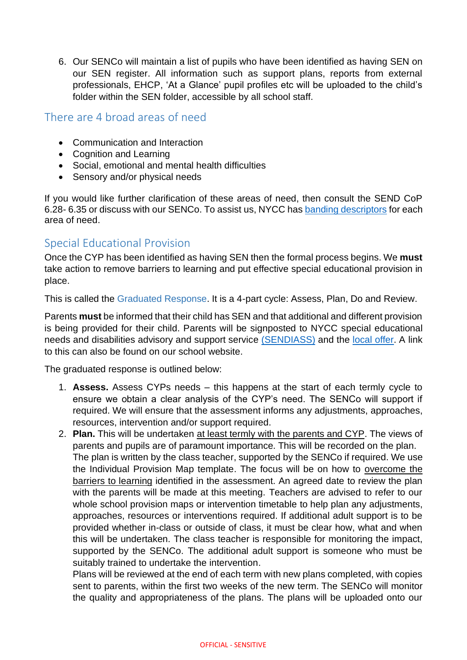6. Our SENCo will maintain a list of pupils who have been identified as having SEN on our SEN register. All information such as support plans, reports from external professionals, EHCP, 'At a Glance' pupil profiles etc will be uploaded to the child's folder within the SEN folder, accessible by all school staff.

# There are 4 broad areas of need

- Communication and Interaction
- Cognition and Learning
- Social, emotional and mental health difficulties
- Sensory and/or physical needs

If you would like further clarification of these areas of need, then consult the SEND CoP 6.28- 6.35 or discuss with our SENCo. To assist us, NYCC ha[s banding descriptors](https://cyps.northyorks.gov.uk/sites/default/files/SEND/SEND%20Assessment%20and%20Review/Banding%20process%20descriptors/Banding%20descriptors%20-%20%20Dec%202020.pdf) for each area of need.

# Special Educational Provision

Once the CYP has been identified as having SEN then the formal process begins. We **must** take action to remove barriers to learning and put effective special educational provision in place.

This is called the Graduated Response. It is a 4-part cycle: Assess, Plan, Do and Review.

Parents **must** be informed that their child has SEN and that additional and different provision is being provided for their child. Parents will be signposted to NYCC special educational needs and disabilities advisory and support service [\(SENDIASS\)](http://sendiassnorthyorkshire.co.uk/) and the [local offer.](https://www.northyorks.gov.uk/send-local-offer) A link to this can also be found on our school website.

The graduated response is outlined below:

- 1. **Assess.** Assess CYPs needs this happens at the start of each termly cycle to ensure we obtain a clear analysis of the CYP's need. The SENCo will support if required. We will ensure that the assessment informs any adjustments, approaches, resources, intervention and/or support required.
- 2. **Plan.** This will be undertaken at least termly with the parents and CYP. The views of parents and pupils are of paramount importance. This will be recorded on the plan. The plan is written by the class teacher, supported by the SENCo if required. We use the Individual Provision Map template. The focus will be on how to overcome the barriers to learning identified in the assessment. An agreed date to review the plan with the parents will be made at this meeting. Teachers are advised to refer to our whole school provision maps or intervention timetable to help plan any adjustments, approaches, resources or interventions required. If additional adult support is to be provided whether in-class or outside of class, it must be clear how, what and when this will be undertaken. The class teacher is responsible for monitoring the impact, supported by the SENCo. The additional adult support is someone who must be suitably trained to undertake the intervention.

Plans will be reviewed at the end of each term with new plans completed, with copies sent to parents, within the first two weeks of the new term. The SENCo will monitor the quality and appropriateness of the plans. The plans will be uploaded onto our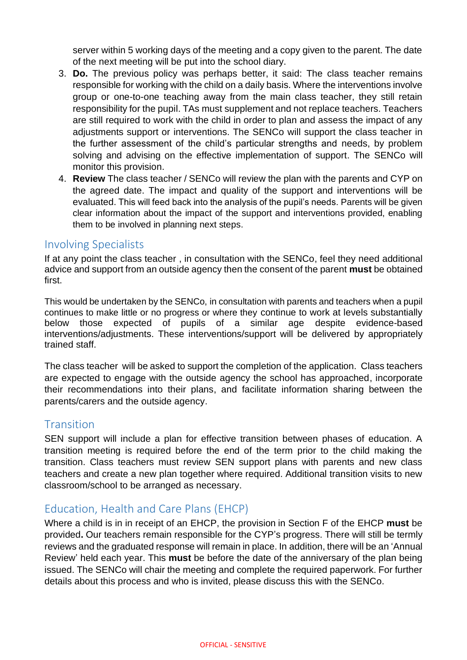server within 5 working days of the meeting and a copy given to the parent. The date of the next meeting will be put into the school diary.

- 3. **Do.** The previous policy was perhaps better, it said: The class teacher remains responsible for working with the child on a daily basis. Where the interventions involve group or one-to-one teaching away from the main class teacher, they still retain responsibility for the pupil. TAs must supplement and not replace teachers. Teachers are still required to work with the child in order to plan and assess the impact of any adjustments support or interventions. The SENCo will support the class teacher in the further assessment of the child's particular strengths and needs, by problem solving and advising on the effective implementation of support. The SENCo will monitor this provision.
- 4. **Review** The class teacher / SENCo will review the plan with the parents and CYP on the agreed date. The impact and quality of the support and interventions will be evaluated. This will feed back into the analysis of the pupil's needs. Parents will be given clear information about the impact of the support and interventions provided, enabling them to be involved in planning next steps.

### Involving Specialists

If at any point the class teacher , in consultation with the SENCo, feel they need additional advice and support from an outside agency then the consent of the parent **must** be obtained first.

This would be undertaken by the SENCo, in consultation with parents and teachers when a pupil continues to make little or no progress or where they continue to work at levels substantially below those expected of pupils of a similar age despite evidence-based interventions/adjustments. These interventions/support will be delivered by appropriately trained staff.

The class teacher will be asked to support the completion of the application. Class teachers are expected to engage with the outside agency the school has approached, incorporate their recommendations into their plans, and facilitate information sharing between the parents/carers and the outside agency.

# **Transition**

SEN support will include a plan for effective transition between phases of education. A transition meeting is required before the end of the term prior to the child making the transition. Class teachers must review SEN support plans with parents and new class teachers and create a new plan together where required. Additional transition visits to new classroom/school to be arranged as necessary.

# Education, Health and Care Plans (EHCP)

Where a child is in in receipt of an EHCP, the provision in Section F of the EHCP **must** be provided**.** Our teachers remain responsible for the CYP's progress. There will still be termly reviews and the graduated response will remain in place. In addition, there will be an 'Annual Review' held each year. This **must** be before the date of the anniversary of the plan being issued. The SENCo will chair the meeting and complete the required paperwork. For further details about this process and who is invited, please discuss this with the SENCo.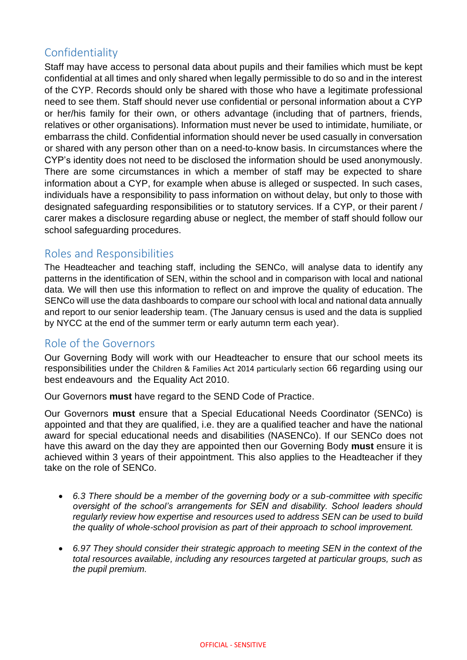# Confidentiality

Staff may have access to personal data about pupils and their families which must be kept confidential at all times and only shared when legally permissible to do so and in the interest of the CYP. Records should only be shared with those who have a legitimate professional need to see them. Staff should never use confidential or personal information about a CYP or her/his family for their own, or others advantage (including that of partners, friends, relatives or other organisations). Information must never be used to intimidate, humiliate, or embarrass the child. Confidential information should never be used casually in conversation or shared with any person other than on a need-to-know basis. In circumstances where the CYP's identity does not need to be disclosed the information should be used anonymously. There are some circumstances in which a member of staff may be expected to share information about a CYP, for example when abuse is alleged or suspected. In such cases, individuals have a responsibility to pass information on without delay, but only to those with designated safeguarding responsibilities or to statutory services. If a CYP, or their parent / carer makes a disclosure regarding abuse or neglect, the member of staff should follow our school safeguarding procedures.

# Roles and Responsibilities

The Headteacher and teaching staff, including the SENCo, will analyse data to identify any patterns in the identification of SEN, within the school and in comparison with local and national data. We will then use this information to reflect on and improve the quality of education. The SENCo will use the data dashboards to compare our school with local and national data annually and report to our senior leadership team. (The January census is used and the data is supplied by NYCC at the end of the summer term or early autumn term each year).

### Role of the Governors

Our Governing Body will work with our Headteacher to ensure that our school meets its responsibilities under the Children & Families Act 2014 particularly section 66 regarding using our best endeavours and the Equality Act 2010.

Our Governors **must** have regard to the SEND Code of Practice.

Our Governors **must** ensure that a Special Educational Needs Coordinator (SENCo) is appointed and that they are qualified, i.e. they are a qualified teacher and have the national award for special educational needs and disabilities (NASENCo). If our SENCo does not have this award on the day they are appointed then our Governing Body **must** ensure it is achieved within 3 years of their appointment. This also applies to the Headteacher if they take on the role of SENCo.

- *6.3 There should be a member of the governing body or a sub-committee with specific oversight of the school's arrangements for SEN and disability. School leaders should regularly review how expertise and resources used to address SEN can be used to build the quality of whole-school provision as part of their approach to school improvement.*
- *6.97 They should consider their strategic approach to meeting SEN in the context of the total resources available, including any resources targeted at particular groups, such as the pupil premium.*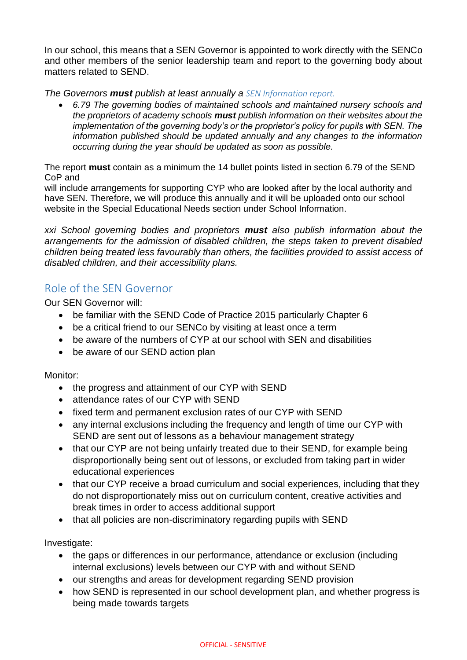In our school, this means that a SEN Governor is appointed to work directly with the SENCo and other members of the senior leadership team and report to the governing body about matters related to SEND.

*The Governors must publish at least annually a SEN Information report.*

• *6.79 The governing bodies of maintained schools and maintained nursery schools and the proprietors of academy schools must publish information on their websites about the implementation of the governing body's or the proprietor's policy for pupils with SEN. The information published should be updated annually and any changes to the information occurring during the year should be updated as soon as possible.* 

The report **must** contain as a minimum the 14 bullet points listed in section 6.79 of the SEND CoP and

will include arrangements for supporting CYP who are looked after by the local authority and have SEN. Therefore, we will produce this annually and it will be uploaded onto our school website in the Special Educational Needs section under School Information.

*xxi School governing bodies and proprietors must also publish information about the arrangements for the admission of disabled children, the steps taken to prevent disabled children being treated less favourably than others, the facilities provided to assist access of disabled children, and their accessibility plans.* 

### Role of the SEN Governor

Our SEN Governor will:

- be familiar with the SEND Code of Practice 2015 particularly Chapter 6
- be a critical friend to our SENCo by visiting at least once a term
- be aware of the numbers of CYP at our school with SEN and disabilities
- be aware of our SEND action plan

Monitor:

- the progress and attainment of our CYP with SEND
- attendance rates of our CYP with SEND
- fixed term and permanent exclusion rates of our CYP with SEND
- any internal exclusions including the frequency and length of time our CYP with SEND are sent out of lessons as a behaviour management strategy
- that our CYP are not being unfairly treated due to their SEND, for example being disproportionally being sent out of lessons, or excluded from taking part in wider educational experiences
- that our CYP receive a broad curriculum and social experiences, including that they do not disproportionately miss out on curriculum content, creative activities and break times in order to access additional support
- that all policies are non-discriminatory regarding pupils with SEND

Investigate:

- the gaps or differences in our performance, attendance or exclusion (including internal exclusions) levels between our CYP with and without SEND
- our strengths and areas for development regarding SEND provision
- how SEND is represented in our school development plan, and whether progress is being made towards targets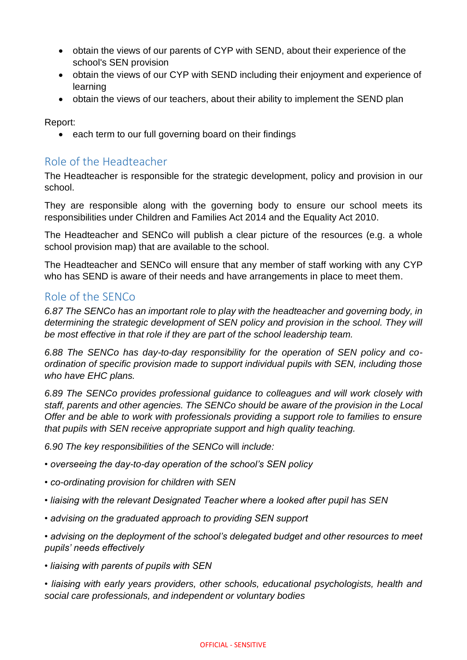- obtain the views of our parents of CYP with SEND, about their experience of the school's SEN provision
- obtain the views of our CYP with SEND including their enjoyment and experience of learning
- obtain the views of our teachers, about their ability to implement the SEND plan

Report:

• each term to our full governing board on their findings

# Role of the Headteacher

The Headteacher is responsible for the strategic development, policy and provision in our school.

They are responsible along with the governing body to ensure our school meets its responsibilities under Children and Families Act 2014 and the Equality Act 2010.

The Headteacher and SENCo will publish a clear picture of the resources (e.g. a whole school provision map) that are available to the school.

The Headteacher and SENCo will ensure that any member of staff working with any CYP who has SEND is aware of their needs and have arrangements in place to meet them.

### Role of the SENCo

*6.87 The SENCo has an important role to play with the headteacher and governing body, in determining the strategic development of SEN policy and provision in the school. They will be most effective in that role if they are part of the school leadership team.*

*6.88 The SENCo has day-to-day responsibility for the operation of SEN policy and coordination of specific provision made to support individual pupils with SEN, including those who have EHC plans.*

*6.89 The SENCo provides professional guidance to colleagues and will work closely with staff, parents and other agencies. The SENCo should be aware of the provision in the Local Offer and be able to work with professionals providing a support role to families to ensure that pupils with SEN receive appropriate support and high quality teaching.*

*6.90 The key responsibilities of the SENCo* will *include:*

*• overseeing the day-to-day operation of the school's SEN policy*

- *co-ordinating provision for children with SEN*
- *liaising with the relevant Designated Teacher where a looked after pupil has SEN*
- *advising on the graduated approach to providing SEN support*

*• advising on the deployment of the school's delegated budget and other resources to meet pupils' needs effectively*

*• liaising with parents of pupils with SEN*

*• liaising with early years providers, other schools, educational psychologists, health and social care professionals, and independent or voluntary bodies*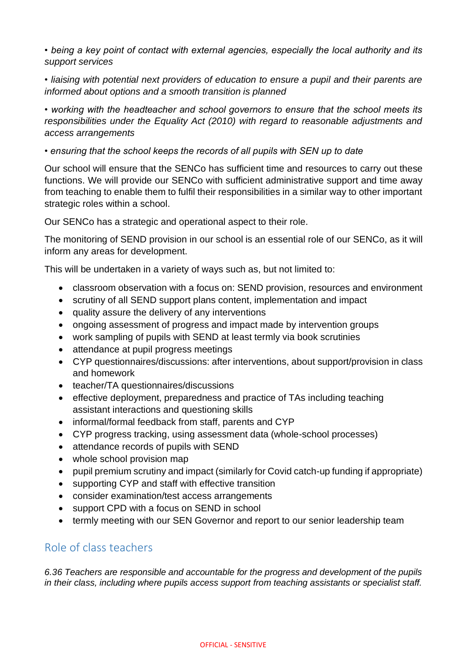*• being a key point of contact with external agencies, especially the local authority and its support services*

*• liaising with potential next providers of education to ensure a pupil and their parents are informed about options and a smooth transition is planned*

*• working with the headteacher and school governors to ensure that the school meets its responsibilities under the Equality Act (2010) with regard to reasonable adjustments and access arrangements*

*• ensuring that the school keeps the records of all pupils with SEN up to date*

Our school will ensure that the SENCo has sufficient time and resources to carry out these functions. We will provide our SENCo with sufficient administrative support and time away from teaching to enable them to fulfil their responsibilities in a similar way to other important strategic roles within a school.

Our SENCo has a strategic and operational aspect to their role.

The monitoring of SEND provision in our school is an essential role of our SENCo, as it will inform any areas for development.

This will be undertaken in a variety of ways such as, but not limited to:

- classroom observation with a focus on: SEND provision, resources and environment
- scrutiny of all SEND support plans content, implementation and impact
- quality assure the delivery of any interventions
- ongoing assessment of progress and impact made by intervention groups
- work sampling of pupils with SEND at least termly via book scrutinies
- attendance at pupil progress meetings
- CYP questionnaires/discussions: after interventions, about support/provision in class and homework
- teacher/TA questionnaires/discussions
- effective deployment, preparedness and practice of TAs including teaching assistant interactions and questioning skills
- informal/formal feedback from staff, parents and CYP
- CYP progress tracking, using assessment data (whole-school processes)
- attendance records of pupils with SEND
- whole school provision map
- pupil premium scrutiny and impact (similarly for Covid catch-up funding if appropriate)
- supporting CYP and staff with effective transition
- consider examination/test access arrangements
- support CPD with a focus on SEND in school
- termly meeting with our SEN Governor and report to our senior leadership team

### Role of class teachers

*6.36 Teachers are responsible and accountable for the progress and development of the pupils in their class, including where pupils access support from teaching assistants or specialist staff.*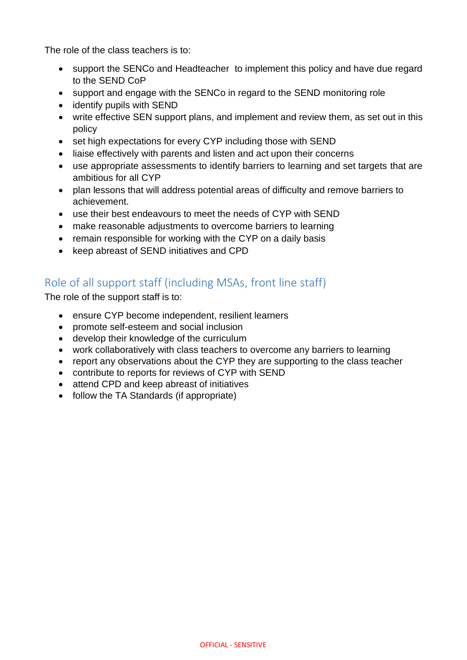The role of the class teachers is to:

- support the SENCo and Headteacher to implement this policy and have due regard to the SEND CoP
- support and engage with the SENCo in regard to the SEND monitoring role
- identify pupils with SEND
- write effective SEN support plans, and implement and review them, as set out in this policy
- set high expectations for every CYP including those with SEND
- liaise effectively with parents and listen and act upon their concerns
- use appropriate assessments to identify barriers to learning and set targets that are ambitious for all CYP
- plan lessons that will address potential areas of difficulty and remove barriers to achievement.
- use their best endeavours to meet the needs of CYP with SEND
- make reasonable adjustments to overcome barriers to learning
- remain responsible for working with the CYP on a daily basis
- keep abreast of SEND initiatives and CPD

# Role of all support staff (including MSAs, front line staff)

The role of the support staff is to:

- ensure CYP become independent, resilient learners
- promote self-esteem and social inclusion
- develop their knowledge of the curriculum
- work collaboratively with class teachers to overcome any barriers to learning
- report any observations about the CYP they are supporting to the class teacher
- contribute to reports for reviews of CYP with SEND
- attend CPD and keep abreast of initiatives
- follow the TA Standards (if appropriate)